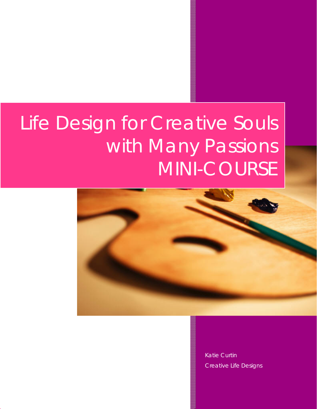# Life Design for Creative Souls with Many Passions MINI-COURSE



Katie Curtin Creative Life Designs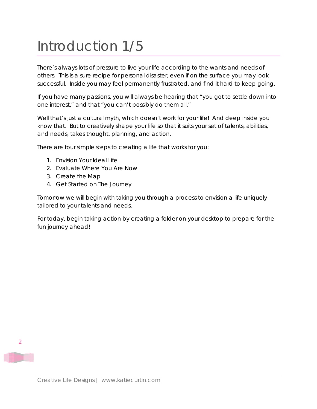#### Introduction 1/5

There's always lots of pressure to live your life according to the wants and needs of others. This is a sure recipe for personal disaster, even if on the surface you may look successful. Inside you may feel permanently frustrated, and find it hard to keep going.

If you have many passions, you will always be hearing that "you got to settle down into one interest," and that "you can't possibly do them all."

Well that's just a cultural myth, which doesn't work for your life! And deep inside you know that. But to creatively shape your life so that it suits your set of talents, abilities, and needs, takes thought, planning, and action.

There are four simple steps to creating a life that works for you:

- 1. Envision Your Ideal Life
- 2. Evaluate Where You Are Now
- 3. Create the Map
- 4. Get Started on The Journey

Tomorrow we will begin with taking you through a process to envision a life uniquely tailored to your talents and needs.

For today, begin taking action by creating a folder on your desktop to prepare for the fun journey ahead!



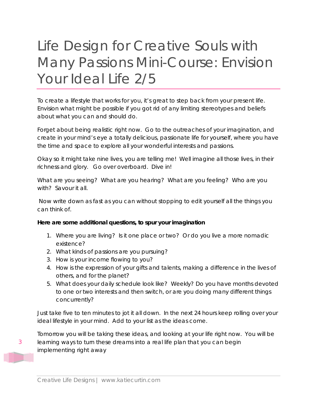## Life Design for Creative Souls with Many Passions Mini-Course: Envision Your Ideal Life 2/5

To create a lifestyle that works for you, it's great to step back from your present life. Envision what might be possible if you got rid of any limiting stereotypes and beliefs about what you can and should do.

Forget about being realistic right now. Go to the outreaches of your imagination, and create in your mind's eye a totally delicious, passionate life for yourself, where you have the time and space to explore all your wonderful interests and passions.

Okay so it might take nine lives, you are telling me! Well imagine all those lives, in their richness and glory. Go over overboard. Dive in!

What are you seeing? What are you hearing? What are you feeling? Who are you with? Savour it all.

 Now write down as fast as you can without stopping to edit yourself all the things you can think of.

#### **Here are some additional questions, to spur your imagination**

- 1. Where you are living? Is it one place or two? Or do you live a more nomadic existence?
- 2. What kinds of passions are you pursuing?
- 3. How is your income flowing to you?
- 4. How is the expression of your gifts and talents, making a difference in the lives of others, and for the planet?
- 5. What does your daily schedule look like? Weekly? Do you have months devoted to one or two interests and then switch, or are you doing many different things concurrently?

Just take five to ten minutes to jot it all down. In the next 24 hours keep rolling over your ideal lifestyle in your mind. Add to your list as the ideas come.

Tomorrow you will be taking these ideas, and looking at your life right now. You will be learning ways to turn these dreams into a real life plan that you can begin implementing right away

3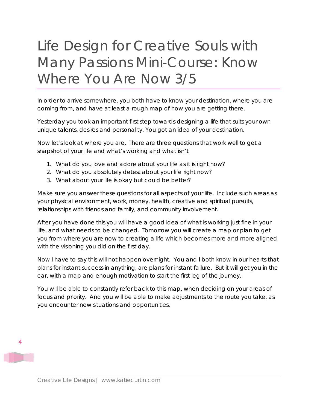## Life Design for Creative Souls with Many Passions Mini-Course: Know Where You Are Now 3/5

In order to arrive somewhere, you both have to know your destination, where you are coming from, and have at least a rough map of how you are getting there.

Yesterday you took an important first step towards designing a life that suits your own unique talents, desires and personality. You got an idea of your destination.

Now let's look at where you are. There are three questions that work well to get a snapshot of your life and what's working and what isn't

- 1. What do you love and adore about your life as it is right now?
- 2. What do you absolutely detest about your life right now?
- 3. What about your life is okay but could be better?

Make sure you answer these questions for all aspects of your life. Include such areas as your physical environment, work, money, health, creative and spiritual pursuits, relationships with friends and family, and community involvement.

After you have done this you will have a good idea of what is working just fine in your life, and what needs to be changed. Tomorrow you will create a map or plan to get you from where you are now to creating a life which becomes more and more aligned with the visioning you did on the first day.

Now I have to say this will not happen overnight. You and I both know in our hearts that plans for instant success in anything, are plans for instant failure. But it will get you in the car, with a map and enough motivation to start the first leg of the journey.

You will be able to constantly refer back to this map, when deciding on your areas of focus and priority. And you will be able to make adjustments to the route you take, as you encounter new situations and opportunities.

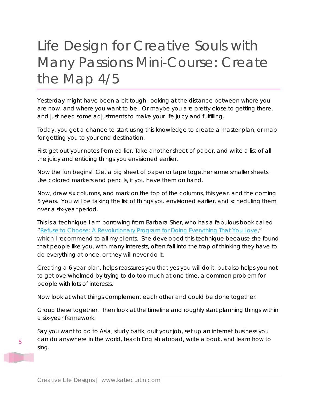## Life Design for Creative Souls with Many Passions Mini-Course: Create the Map 4/5

Yesterday might have been a bit tough, looking at the distance between where you are now, and where you want to be. Or maybe you are pretty close to getting there, and just need some adjustments to make your life juicy and fulfilling.

Today, you get a chance to start using this knowledge to create a master plan, or map for getting you to your end destination.

First get out your notes from earlier. Take another sheet of paper, and write a list of all the juicy and enticing things you envisioned earlier.

Now the fun begins! Get a big sheet of paper or tape together some smaller sheets. Use colored markers and pencils, if you have them on hand.

Now, draw six columns, and mark on the top of the columns, this year, and the coming 5 years. You will be taking the list of things you envisioned earlier, and scheduling them over a six-year period.

This is a technique I am borrowing from Barbara Sher, who has a fabulous book called "[Refuse to Choose: A Revolutionary Program for Doing Everything That You Love,](http://www.amazon.com/gp/product/1594866260?ie=UTF8&tag=katiecurtinco-20&linkCode=as2&camp=1789&creative=390957&creativeASIN=1594866260)" which I recommend to all my clients. She developed this technique because she found that people like you, with many interests, often fall into the trap of thinking they have to do everything at once, or they will never do it.

Creating a 6 year plan, helps reassures you that yes you will do it, but also helps you not to get overwhelmed by trying to do too much at one time, a common problem for people with lots of interests.

Now look at what things complement each other and could be done together.

Group these together. Then look at the timeline and roughly start planning things within a six-year framework.

Say you want to go to Asia, study batik, quit your job, set up an internet business you can do anywhere in the world, teach English abroad, write a book, and learn how to sing.

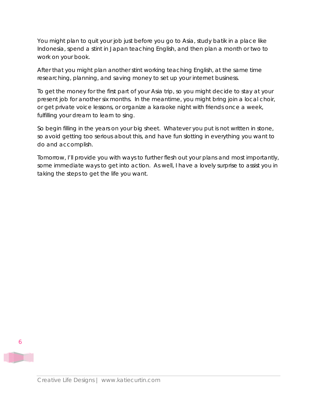You might plan to quit your job just before you go to Asia, study batik in a place like Indonesia, spend a stint in Japan teaching English, and then plan a month or two to work on your book.

After that you might plan another stint working teaching English, at the same time researching, planning, and saving money to set up your internet business.

To get the money for the first part of your Asia trip, so you might decide to stay at your present job for another six months. In the meantime, you might bring join a local choir, or get private voice lessons, or organize a karaoke night with friends once a week, fulfilling your dream to learn to sing.

So begin filling in the years on your big sheet. Whatever you put is not written in stone, so avoid getting too serious about this, and have fun slotting in everything you want to do and accomplish.

Tomorrow, I'll provide you with ways to further flesh out your plans and most importantly, some immediate ways to get into action. As well, I have a lovely surprise to assist you in taking the steps to get the life you want.



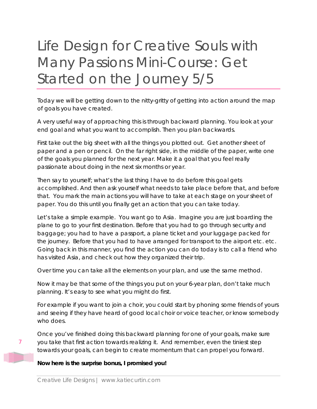## Life Design for Creative Souls with Many Passions Mini-Course: Get Started on the Journey 5/5

Today we will be getting down to the nitty-gritty of getting into action around the map of goals you have created.

A very useful way of approaching this is through backward planning. You look at your end goal and what you want to accomplish. Then you plan backwards.

First take out the big sheet with all the things you plotted out. Get another sheet of paper and a pen or pencil. On the far right side, in the middle of the paper, write one of the goals you planned for the next year. Make it a goal that you feel really passionate about doing in the next six months or year.

Then say to yourself; what's the last thing I have to do before this goal gets accomplished. And then ask yourself what needs to take place before that, and before that. You mark the main actions you will have to take at each stage on your sheet of paper. You do this until you finally get an action that you can take today.

Let's take a simple example. You want go to Asia. Imagine you are just boarding the plane to go to your first destination. Before that you had to go through security and baggage; you had to have a passport, a plane ticket and your luggage packed for the journey. Before that you had to have arranged for transport to the airport etc. etc. Going back in this manner, you find the action you can do today is to call a friend who has visited Asia, and check out how they organized their trip.

Over time you can take all the elements on your plan, and use the same method.

Now it may be that some of the things you put on your 6-year plan, don't take much planning. It's easy to see what you might do first.

For example if you want to join a choir, you could start by phoning some friends of yours and seeing if they have heard of good local choir or voice teacher, or know somebody who does.

Once you've finished doing this backward planning for one of your goals, make sure you take that first action towards realizing it. And remember, even the tiniest step towards your goals, can begin to create momentum that can propel you forward.

#### **Now here is the surprise bonus, I promised you!**

7